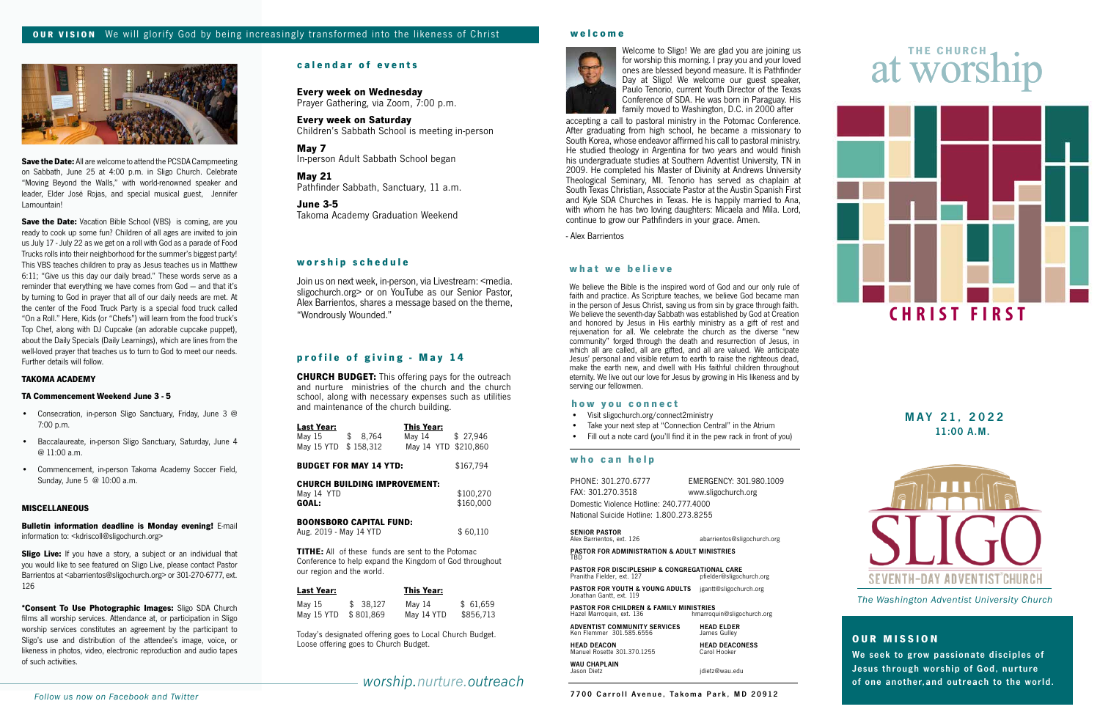# **what we believe**

We believe the Bible is the inspired word of God and our only rule of faith and practice. As Scripture teaches, we believe God became man in the person of Jesus Christ, saving us from sin by grace through faith. We believe the seventh-day Sabbath was established by God at Creation and honored by Jesus in His earthly ministry as a gift of rest and rejuvenation for all. We celebrate the church as the diverse "new community" forged through the death and resurrection of Jesus, in which all are called, all are gifted, and all are valued. We anticipate Jesus' personal and visible return to earth to raise the righteous dead, make the earth new, and dwell with His faithful children throughout eternity. We live out our love for Jesus by growing in His likeness and by serving our fellowmen.

7700 Carroll Avenue, Takoma Park, MD 20912

# **OUR MISSION**

We seek to grow passionate disciples of Jesus through worship of God, nurture of one another,and outreach to the world.

*The Washington Adventist University Church*

11:00 A.M. MAY 21, 2022



# **calendar of events**

# *worship.nurture.outreach*

# at worship

# **welcome**



# **w o r s h i p s c h e d u l e**

**Every week on Wednesday** Prayer Gathering, via Zoom, 7:00 p.m.

**Every week on Saturday** Children's Sabbath School is meeting in-person

**May 7**<br>In-person Adult Sabbath School began

**May 21** Pathfinder Sabbath, Sanctuary, 11 a.m.

# **June 3-5**

Takoma Academy Graduation Weekend

accepting a call to pastoral ministry in the Potomac Conference. After graduating from high school, he became a missionary to South Korea, whose endeavor affirmed his call to pastoral ministry. He studied theology in Argentina for two years and would finish his undergraduate studies at Southern Adventist University, TN in 2009. He completed his Master of Divinity at Andrews University Theological Seminary, MI. Tenorio has served as chaplain at South Texas Christian, Associate Pastor at the Austin Spanish First and Kyle SDA Churches in Texas. He is happily married to Ana, with whom he has two loving daughters: Micaela and Mila. Lord, continue to grow our Pathfinders in your grace. Amen.

**TITHE:** All of these funds are sent to the Potomac Conference to help expand the Kingdom of God throughout our region and the world.

- Visit sligochurch.org/connect2ministry
- Take your next step at "Connection Central" in the Atrium
- Fill out a note card (you'll find it in the pew rack in front of you)

- Alex Barrientos

Join us on next week, in-person, via Livestream: <media. sligochurch.org > or on YouTube as our Senior Pastor, Alex Barrientos, shares a message based on the theme, "Wondrously Wounded."

# **who can help**

| PHONE: 301.270.6777                      | EMERGENCY: 301.980.1009 |  |  |  |
|------------------------------------------|-------------------------|--|--|--|
| FAX: 301.270.3518                        | www.sligochurch.org     |  |  |  |
| Domestic Violence Hotline: 240.777.4000  |                         |  |  |  |
| National Suicide Hotline: 1.800.273.8255 |                         |  |  |  |
|                                          |                         |  |  |  |

SENIOR PASTOR<br>Alex Barrientos, ext. 126 **abarrientos@sligochurch.org** 

**Save the Date:** Vacation Bible School (VBS) is coming, are you ready to cook up some fun? Children of all ages are invited to join us July 17 - July 22 as we get on a roll with God as a parade of Food Trucks rolls into their neighborhood for the summer's biggest party! This VBS teaches children to pray as Jesus teaches us in Matthew 6:11; "Give us this day our daily bread." These words serve as a reminder that everything we have comes from God — and that it's by turning to God in prayer that all of our daily needs are met. At the center of the Food Truck Party is a special food truck called "On a Roll." Here, Kids (or "Chefs") will learn from the food truck's Top Chef, along with DJ Cupcake (an adorable cupcake puppet), about the Daily Specials (Daily Learnings), which are lines from the well-loved prayer that teaches us to turn to God to meet our needs. Further details will follow.

> PASTOR FOR ADMINISTRATION & ADULT MINISTRIES TBD

**PASTOR FOR DISCIPLESHIP & CONGREGATIONAL CARE**<br>Pranitha Fielder, ext. 127<br>pfielder@sligochurch.org Pranitha Fielder, ext. 12

PASTOR FOR YOUTH & YOUNG ADULTS jgantt@sligochurch.org<br>Jonathan Gantt. ext. 119

**PASTOR FOR CHILDREN & FAMILY MINISTRIES**<br>Hazel Marroquin, ext. 136 hmarroquin -------<br>Imarroquin@sligochurch.org

| ADVENTIST COMMUNITY SERVICES | <b>HEAD FLDER</b>     |
|------------------------------|-----------------------|
| Ken Flemmer 301.585.6556     | James Gullev          |
| <b>HEAD DEACON</b>           | <b>HEAD DEACONESS</b> |
| Manuel Rosette 301.370.1255  | Carol Hooker          |

**WAU CHAPLAIN**<br>Jason Dietz **jason Dietz jason Dietz jason Dietz jason Dietz jason palu** 



# **profile of giving - May 14**

**CHURCH BUDGET:** This offering pays for the outreach and nurture ministries of the church and the church school, along with necessary expenses such as utilities and maintenance of the church building.

| Last Year:                          |           | <b>This Year:</b> |  |           |  |
|-------------------------------------|-----------|-------------------|--|-----------|--|
| May 15                              | \$8,764   | May 14            |  | \$27,946  |  |
| May 15 YTD                          | \$158,312 | May 14 YTD        |  | \$210,860 |  |
| <b>BUDGET FOR MAY 14 YTD:</b>       |           |                   |  | \$167,794 |  |
| <b>CHURCH BUILDING IMPROVEMENT:</b> |           |                   |  |           |  |
| May 14 YTD                          |           |                   |  | \$100,270 |  |
| GOAL:                               |           |                   |  | \$160,000 |  |
| <b>BOONSBORO CAPITAL FUND:</b>      |           |                   |  |           |  |
| Aug. 2019 - May 14 YTD              |           |                   |  | \$60.110  |  |

| <b>Last Year:</b> |           | <b>This Year:</b> |           |
|-------------------|-----------|-------------------|-----------|
| May 15            | \$38.127  | Mav 14            | \$61.659  |
| May 15 YTD        | \$801,869 | May 14 YTD        | \$856,713 |

Today's designated offering goes to Local Church Budget. Loose offering goes to Church Budget.

## **how you connect**



**Save the Date:** All are welcome to attend the PCSDA Campmeeting on Sabbath, June 25 at 4:00 p.m. in Sligo Church. Celebrate "Moving Beyond the Walls," with world-renowned speaker and leader, Elder José Rojas, and special musical guest, Jennifer Lamountain!

## **TAKOMA ACADEMY**

# **TA Commencement Weekend June 3 - 5**

- Consecration, in-person Sligo Sanctuary, Friday, June 3 @ 7:00 p.m.
- Baccalaureate, in-person Sligo Sanctuary, Saturday, June 4 @ 11:00 a.m.
- Commencement, in-person Takoma Academy Soccer Field, Sunday, June 5 @ 10:00 a.m.

## **MISCELLANEOUS**

**Bulletin information deadline is Monday evening!** E-mail information to: <kdriscoll@sligochurch.org>

**Sligo Live:** If you have a story, a subject or an individual that you would like to see featured on Sligo Live, please contact Pastor Barrientos at <abarrientos@sligochurch.org> or 301-270-6777, ext. 126

**\*Consent To Use Photographic Images:** Sligo SDA Church films all worship services. Attendance at, or participation in Sligo worship services constitutes an agreement by the participant to Sligo's use and distribution of the attendee's image, voice, or likeness in photos, video, electronic reproduction and audio tapes of such activities.

Welcome to Sligo! We are glad you are joining us for worship this morning. I pray you and your loved ones are blessed beyond measure. It is Pathfinder Day at Sligo! We welcome our guest speaker, Paulo Tenorio, current Youth Director of the Texas Conference of SDA. He was born in Paraguay. His family moved to Washington, D.C. in 2000 after